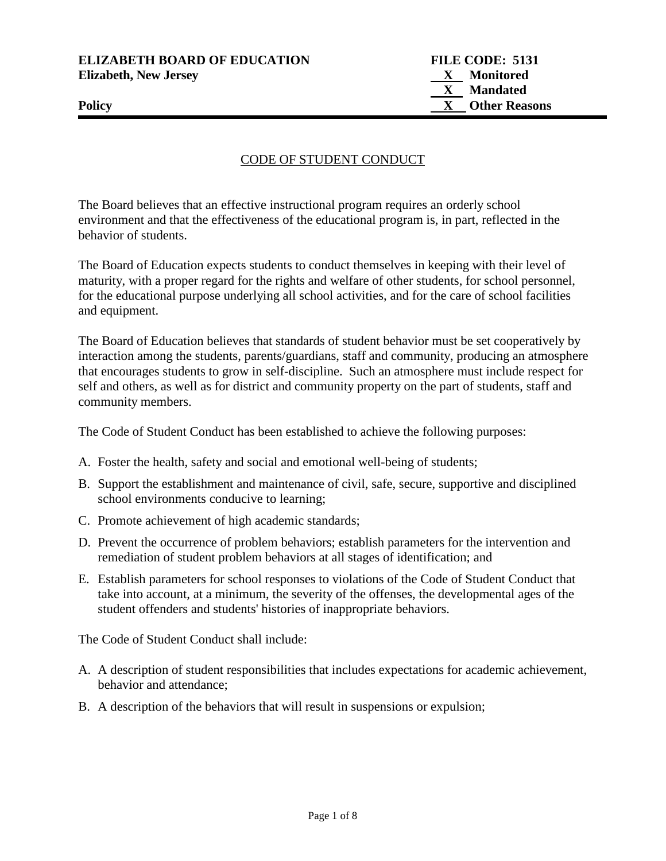#### **ELIZABETH BOARD OF EDUCATION FILE CODE: 5131 Elizabeth, New Jersey X Monitored**

The Board believes that an effective instructional program requires an orderly school environment and that the effectiveness of the educational program is, in part, reflected in the behavior of students.

The Board of Education expects students to conduct themselves in keeping with their level of maturity, with a proper regard for the rights and welfare of other students, for school personnel, for the educational purpose underlying all school activities, and for the care of school facilities and equipment.

The Board of Education believes that standards of student behavior must be set cooperatively by interaction among the students, parents/guardians, staff and community, producing an atmosphere that encourages students to grow in self-discipline. Such an atmosphere must include respect for self and others, as well as for district and community property on the part of students, staff and community members.

The Code of Student Conduct has been established to achieve the following purposes:

- A. Foster the health, safety and social and emotional well-being of students;
- B. Support the establishment and maintenance of civil, safe, secure, supportive and disciplined school environments conducive to learning;
- C. Promote achievement of high academic standards;
- D. Prevent the occurrence of problem behaviors; establish parameters for the intervention and remediation of student problem behaviors at all stages of identification; and
- E. Establish parameters for school responses to violations of the Code of Student Conduct that take into account, at a minimum, the severity of the offenses, the developmental ages of the student offenders and students' histories of inappropriate behaviors.

The Code of Student Conduct shall include:

- A. A description of student responsibilities that includes expectations for academic achievement, behavior and attendance;
- B. A description of the behaviors that will result in suspensions or expulsion;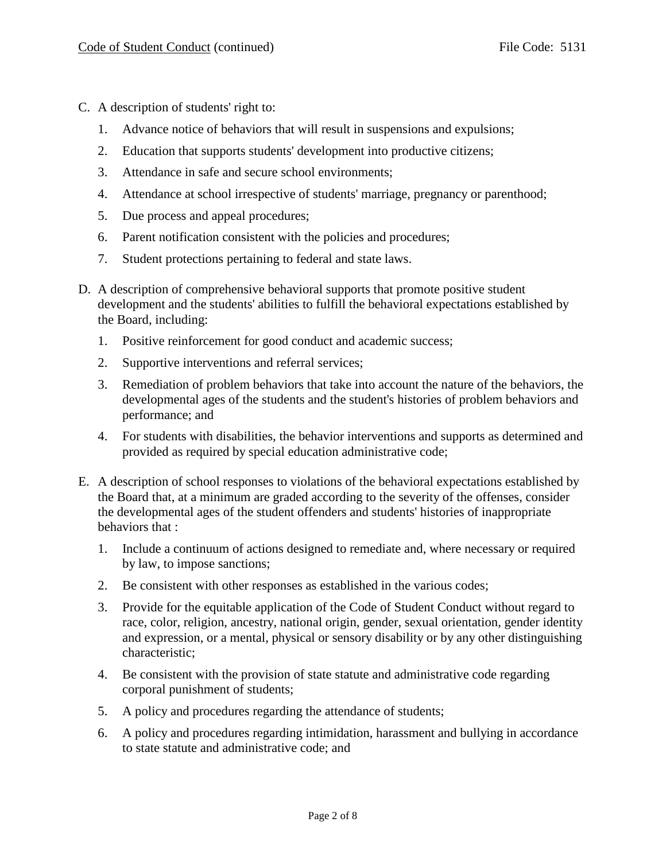- C. A description of students' right to:
	- 1. Advance notice of behaviors that will result in suspensions and expulsions;
	- 2. Education that supports students' development into productive citizens;
	- 3. Attendance in safe and secure school environments;
	- 4. Attendance at school irrespective of students' marriage, pregnancy or parenthood;
	- 5. Due process and appeal procedures;
	- 6. Parent notification consistent with the policies and procedures;
	- 7. Student protections pertaining to federal and state laws.
- D. A description of comprehensive behavioral supports that promote positive student development and the students' abilities to fulfill the behavioral expectations established by the Board, including:
	- 1. Positive reinforcement for good conduct and academic success;
	- 2. Supportive interventions and referral services;
	- 3. Remediation of problem behaviors that take into account the nature of the behaviors, the developmental ages of the students and the student's histories of problem behaviors and performance; and
	- 4. For students with disabilities, the behavior interventions and supports as determined and provided as required by special education administrative code;
- E. A description of school responses to violations of the behavioral expectations established by the Board that, at a minimum are graded according to the severity of the offenses, consider the developmental ages of the student offenders and students' histories of inappropriate behaviors that :
	- 1. Include a continuum of actions designed to remediate and, where necessary or required by law, to impose sanctions;
	- 2. Be consistent with other responses as established in the various codes;
	- 3. Provide for the equitable application of the Code of Student Conduct without regard to race, color, religion, ancestry, national origin, gender, sexual orientation, gender identity and expression, or a mental, physical or sensory disability or by any other distinguishing characteristic;
	- 4. Be consistent with the provision of state statute and administrative code regarding corporal punishment of students;
	- 5. A policy and procedures regarding the attendance of students;
	- 6. A policy and procedures regarding intimidation, harassment and bullying in accordance to state statute and administrative code; and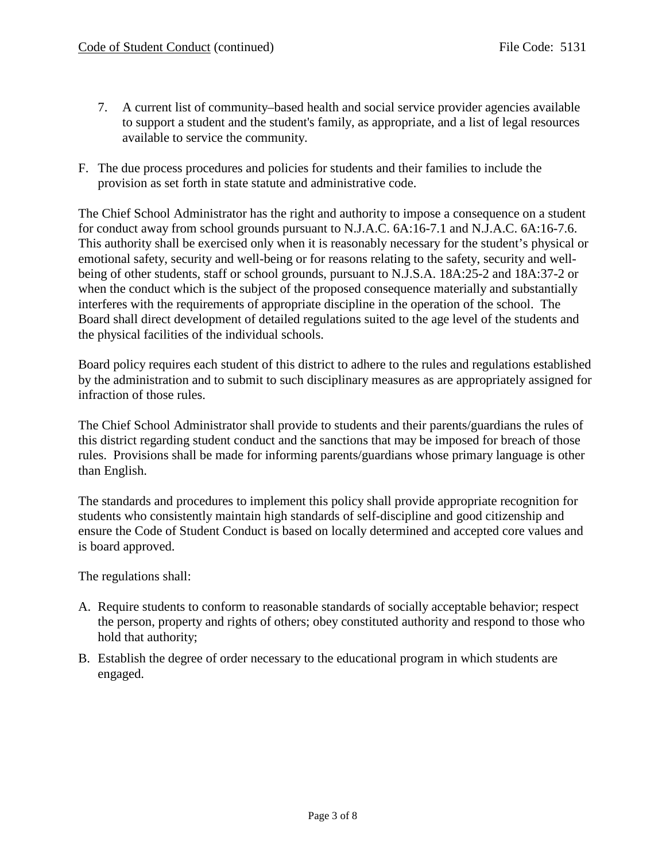- 7. A current list of community–based health and social service provider agencies available to support a student and the student's family, as appropriate, and a list of legal resources available to service the community.
- F. The due process procedures and policies for students and their families to include the provision as set forth in state statute and administrative code.

The Chief School Administrator has the right and authority to impose a consequence on a student for conduct away from school grounds pursuant to N.J.A.C. 6A:16-7.1 and N.J.A.C. 6A:16-7.6. This authority shall be exercised only when it is reasonably necessary for the student's physical or emotional safety, security and well-being or for reasons relating to the safety, security and wellbeing of other students, staff or school grounds, pursuant to N.J.S.A. 18A:25-2 and 18A:37-2 or when the conduct which is the subject of the proposed consequence materially and substantially interferes with the requirements of appropriate discipline in the operation of the school. The Board shall direct development of detailed regulations suited to the age level of the students and the physical facilities of the individual schools.

Board policy requires each student of this district to adhere to the rules and regulations established by the administration and to submit to such disciplinary measures as are appropriately assigned for infraction of those rules.

The Chief School Administrator shall provide to students and their parents/guardians the rules of this district regarding student conduct and the sanctions that may be imposed for breach of those rules. Provisions shall be made for informing parents/guardians whose primary language is other than English.

The standards and procedures to implement this policy shall provide appropriate recognition for students who consistently maintain high standards of self-discipline and good citizenship and ensure the Code of Student Conduct is based on locally determined and accepted core values and is board approved.

The regulations shall:

- A. Require students to conform to reasonable standards of socially acceptable behavior; respect the person, property and rights of others; obey constituted authority and respond to those who hold that authority;
- B. Establish the degree of order necessary to the educational program in which students are engaged.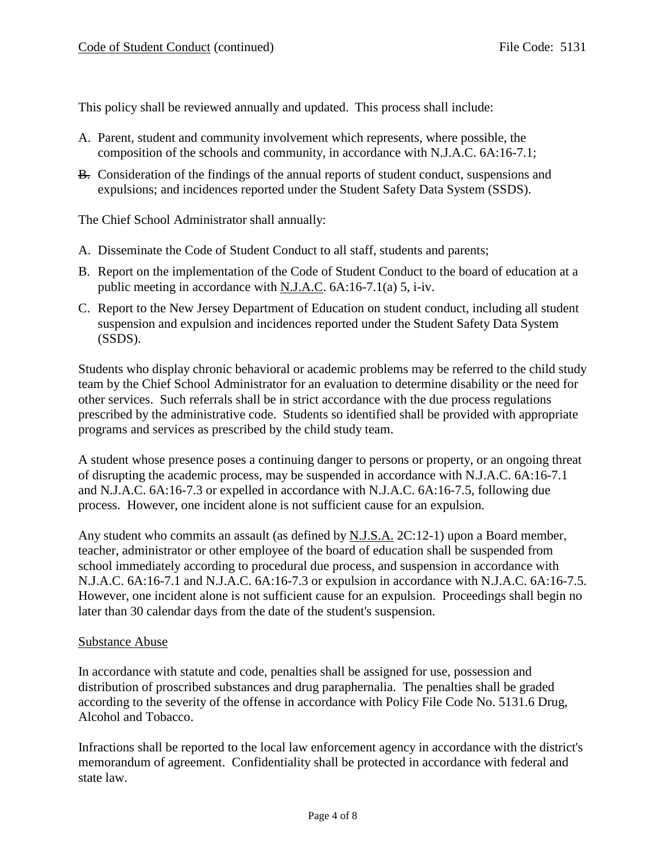This policy shall be reviewed annually and updated. This process shall include:

- A. Parent, student and community involvement which represents, where possible, the composition of the schools and community, in accordance with N.J.A.C. 6A:16-7.1;
- B. Consideration of the findings of the annual reports of student conduct, suspensions and expulsions; and incidences reported under the Student Safety Data System (SSDS).

The Chief School Administrator shall annually:

- A. Disseminate the Code of Student Conduct to all staff, students and parents;
- B. Report on the implementation of the Code of Student Conduct to the board of education at a public meeting in accordance with N.J.A.C. 6A:16-7.1(a) 5, i-iv.
- C. Report to the New Jersey Department of Education on student conduct, including all student suspension and expulsion and incidences reported under the Student Safety Data System (SSDS).

Students who display chronic behavioral or academic problems may be referred to the child study team by the Chief School Administrator for an evaluation to determine disability or the need for other services. Such referrals shall be in strict accordance with the due process regulations prescribed by the administrative code. Students so identified shall be provided with appropriate programs and services as prescribed by the child study team.

A student whose presence poses a continuing danger to persons or property, or an ongoing threat of disrupting the academic process, may be suspended in accordance with N.J.A.C. 6A:16-7.1 and N.J.A.C. 6A:16-7.3 or expelled in accordance with N.J.A.C. 6A:16-7.5, following due process. However, one incident alone is not sufficient cause for an expulsion.

Any student who commits an assault (as defined by N.J.S.A. 2C:12-1) upon a Board member, teacher, administrator or other employee of the board of education shall be suspended from school immediately according to procedural due process, and suspension in accordance with N.J.A.C. 6A:16-7.1 and N.J.A.C. 6A:16-7.3 or expulsion in accordance with N.J.A.C. 6A:16-7.5. However, one incident alone is not sufficient cause for an expulsion. Proceedings shall begin no later than 30 calendar days from the date of the student's suspension.

#### Substance Abuse

In accordance with statute and code, penalties shall be assigned for use, possession and distribution of proscribed substances and drug paraphernalia. The penalties shall be graded according to the severity of the offense in accordance with Policy File Code No. 5131.6 Drug, Alcohol and Tobacco.

Infractions shall be reported to the local law enforcement agency in accordance with the district's memorandum of agreement. Confidentiality shall be protected in accordance with federal and state law.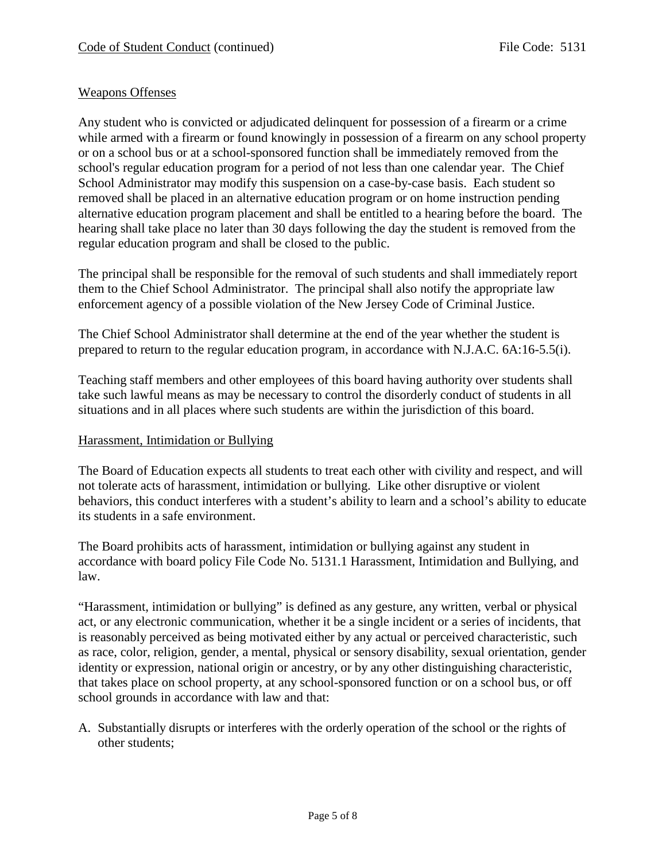# Weapons Offenses

Any student who is convicted or adjudicated delinquent for possession of a firearm or a crime while armed with a firearm or found knowingly in possession of a firearm on any school property or on a school bus or at a school-sponsored function shall be immediately removed from the school's regular education program for a period of not less than one calendar year. The Chief School Administrator may modify this suspension on a case-by-case basis. Each student so removed shall be placed in an alternative education program or on home instruction pending alternative education program placement and shall be entitled to a hearing before the board. The hearing shall take place no later than 30 days following the day the student is removed from the regular education program and shall be closed to the public.

The principal shall be responsible for the removal of such students and shall immediately report them to the Chief School Administrator. The principal shall also notify the appropriate law enforcement agency of a possible violation of the New Jersey Code of Criminal Justice.

The Chief School Administrator shall determine at the end of the year whether the student is prepared to return to the regular education program, in accordance with N.J.A.C. 6A:16-5.5(i).

Teaching staff members and other employees of this board having authority over students shall take such lawful means as may be necessary to control the disorderly conduct of students in all situations and in all places where such students are within the jurisdiction of this board.

#### Harassment, Intimidation or Bullying

The Board of Education expects all students to treat each other with civility and respect, and will not tolerate acts of harassment, intimidation or bullying. Like other disruptive or violent behaviors, this conduct interferes with a student's ability to learn and a school's ability to educate its students in a safe environment.

The Board prohibits acts of harassment, intimidation or bullying against any student in accordance with board policy File Code No. 5131.1 Harassment, Intimidation and Bullying, and law.

"Harassment, intimidation or bullying" is defined as any gesture, any written, verbal or physical act, or any electronic communication, whether it be a single incident or a series of incidents, that is reasonably perceived as being motivated either by any actual or perceived characteristic, such as race, color, religion, gender, a mental, physical or sensory disability, sexual orientation, gender identity or expression, national origin or ancestry, or by any other distinguishing characteristic, that takes place on school property, at any school-sponsored function or on a school bus, or off school grounds in accordance with law and that:

A. Substantially disrupts or interferes with the orderly operation of the school or the rights of other students;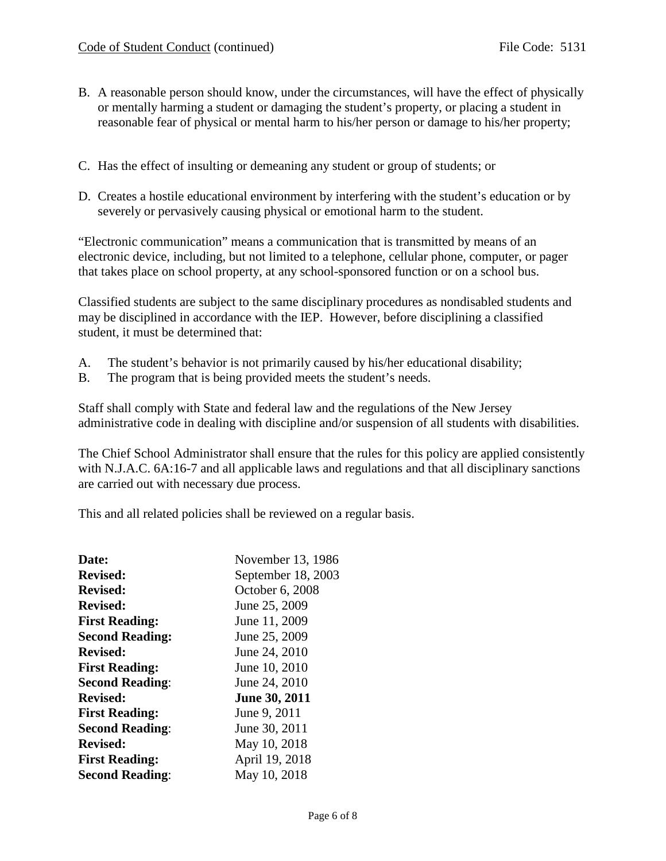- B. A reasonable person should know, under the circumstances, will have the effect of physically or mentally harming a student or damaging the student's property, or placing a student in reasonable fear of physical or mental harm to his/her person or damage to his/her property;
- C. Has the effect of insulting or demeaning any student or group of students; or
- D. Creates a hostile educational environment by interfering with the student's education or by severely or pervasively causing physical or emotional harm to the student.

"Electronic communication" means a communication that is transmitted by means of an electronic device, including, but not limited to a telephone, cellular phone, computer, or pager that takes place on school property, at any school-sponsored function or on a school bus.

Classified students are subject to the same disciplinary procedures as nondisabled students and may be disciplined in accordance with the IEP. However, before disciplining a classified student, it must be determined that:

- A. The student's behavior is not primarily caused by his/her educational disability;
- B. The program that is being provided meets the student's needs.

Staff shall comply with State and federal law and the regulations of the New Jersey administrative code in dealing with discipline and/or suspension of all students with disabilities.

The Chief School Administrator shall ensure that the rules for this policy are applied consistently with N.J.A.C. 6A:16-7 and all applicable laws and regulations and that all disciplinary sanctions are carried out with necessary due process.

This and all related policies shall be reviewed on a regular basis.

| Date:                  | November 13, 1986    |
|------------------------|----------------------|
| <b>Revised:</b>        | September 18, 2003   |
| <b>Revised:</b>        | October 6, 2008      |
| <b>Revised:</b>        | June 25, 2009        |
| <b>First Reading:</b>  | June 11, 2009        |
| <b>Second Reading:</b> | June 25, 2009        |
| <b>Revised:</b>        | June 24, 2010        |
| <b>First Reading:</b>  | June 10, 2010        |
| <b>Second Reading:</b> | June 24, 2010        |
| <b>Revised:</b>        | <b>June 30, 2011</b> |
| <b>First Reading:</b>  | June 9, 2011         |
| <b>Second Reading:</b> | June 30, 2011        |
| <b>Revised:</b>        | May 10, 2018         |
| <b>First Reading:</b>  | April 19, 2018       |
| <b>Second Reading:</b> | May 10, 2018         |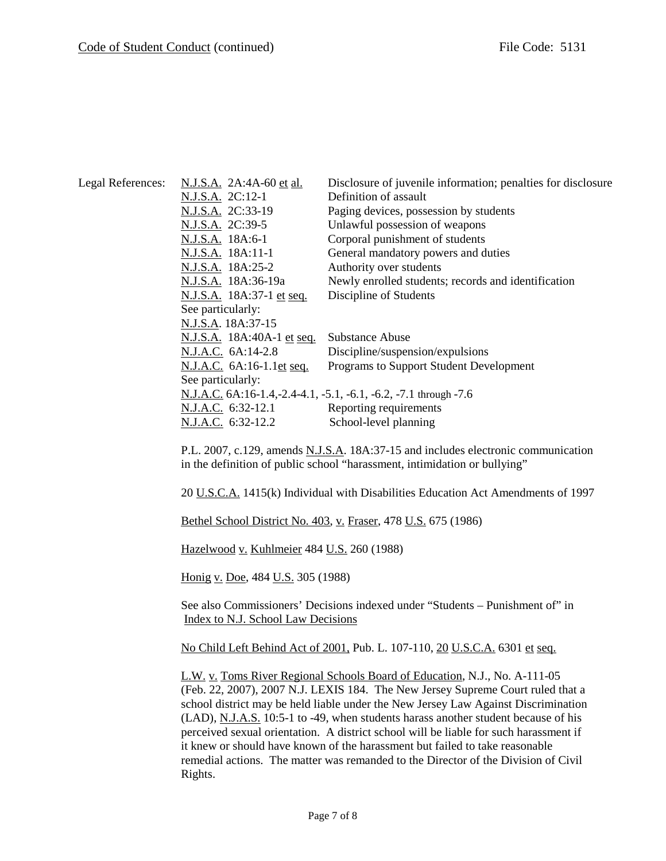Legal References: N.J.S.A. 2A:4A-60 et al. Disclosure of juvenile information; penalties for disclosure N.J.S.A. 2C:12-1 Definition of assault N.J.S.A. 2C:33-19 Paging devices, possession by students N.J.S.A. 2C:39-5 Unlawful possession of weapons<br>N.J.S.A. 18A:6-1 Corporal punishment of students Corporal punishment of students N.J.S.A. 18A:11-1 General mandatory powers and duties N.J.S.A. 18A:25-2 Authority over students N.J.S.A. 18A:36-19a Newly enrolled students; records and identification N.J.S.A. 18A:37-1 et seq. Discipline of Students See particularly: N.J.S.A. 18A:37-15 N.J.S.A. 18A:40A-1 et seq. Substance Abuse N.J.A.C. 6A:14-2.8 Discipline/suspension/expulsions N.J.A.C. 6A:16-1.1et seq. Programs to Support Student Development See particularly: N.J.A.C. 6A:16-1.4,-2.4-4.1, -5.1, -6.1, -6.2, -7.1 through -7.6 N.J.A.C. 6:32-12.1 Reporting requirements N.J.A.C. 6:32-12.2 School-level planning

> P.L. 2007, c.129, amends N.J.S.A. 18A:37-15 and includes electronic communication in the definition of public school "harassment, intimidation or bullying"

> 20 U.S.C.A. 1415(k) Individual with Disabilities Education Act Amendments of 1997

Bethel School District No. 403, v. Fraser, 478 U.S. 675 (1986)

Hazelwood v. Kuhlmeier 484 U.S. 260 (1988)

Honig v. Doe, 484 U.S. 305 (1988)

See also Commissioners' Decisions indexed under "Students – Punishment of" in Index to N.J. School Law Decisions

No Child Left Behind Act of 2001, Pub. L. 107-110, 20 U.S.C.A. 6301 et seq.

L.W. v. Toms River Regional Schools Board of Education, N.J., No. A-111-05 (Feb. 22, 2007), 2007 N.J. LEXIS 184. The New Jersey Supreme Court ruled that a school district may be held liable under the New Jersey Law Against Discrimination (LAD), N.J.A.S. 10:5-1 to -49, when students harass another student because of his perceived sexual orientation. A district school will be liable for such harassment if it knew or should have known of the harassment but failed to take reasonable remedial actions. The matter was remanded to the Director of the Division of Civil Rights.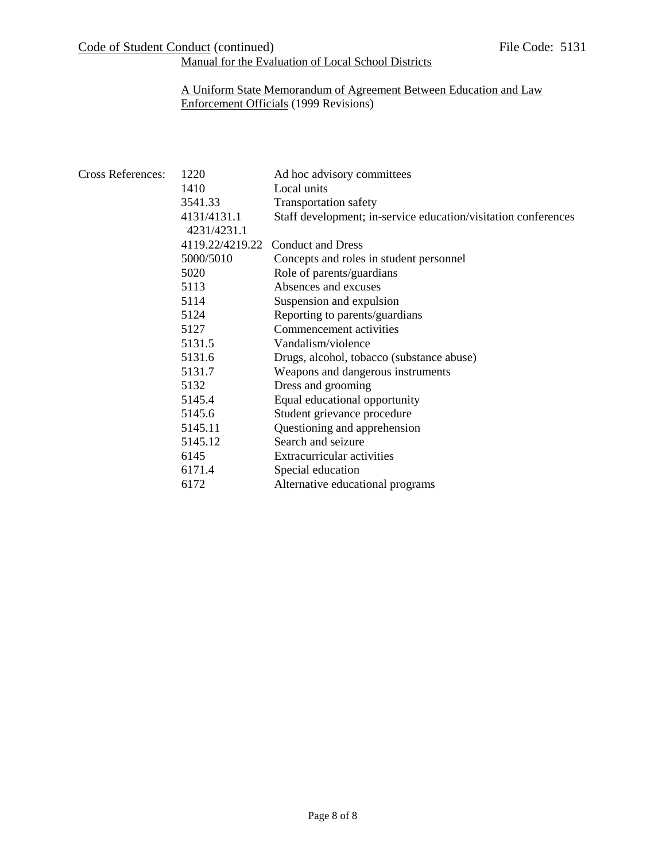### A Uniform State Memorandum of Agreement Between Education and Law Enforcement Officials (1999 Revisions)

| <b>Cross References:</b> | 1220                       | Ad hoc advisory committees                                     |
|--------------------------|----------------------------|----------------------------------------------------------------|
|                          | 1410                       | Local units                                                    |
|                          | 3541.33                    | <b>Transportation safety</b>                                   |
|                          | 4131/4131.1<br>4231/4231.1 | Staff development; in-service education/visitation conferences |
|                          | 4119.22/4219.22            | <b>Conduct and Dress</b>                                       |
|                          | 5000/5010                  | Concepts and roles in student personnel                        |
|                          | 5020                       | Role of parents/guardians                                      |
|                          | 5113                       | Absences and excuses                                           |
|                          | 5114                       | Suspension and expulsion                                       |
|                          | 5124                       | Reporting to parents/guardians                                 |
|                          | 5127                       | Commencement activities                                        |
|                          | 5131.5                     | Vandalism/violence                                             |
|                          | 5131.6                     | Drugs, alcohol, tobacco (substance abuse)                      |
|                          | 5131.7                     | Weapons and dangerous instruments                              |
|                          | 5132                       | Dress and grooming                                             |
|                          | 5145.4                     | Equal educational opportunity                                  |
|                          | 5145.6                     | Student grievance procedure                                    |
|                          | 5145.11                    | Questioning and apprehension                                   |
|                          | 5145.12                    | Search and seizure                                             |
|                          | 6145                       | Extracurricular activities                                     |
|                          | 6171.4                     | Special education                                              |
|                          | 6172                       | Alternative educational programs                               |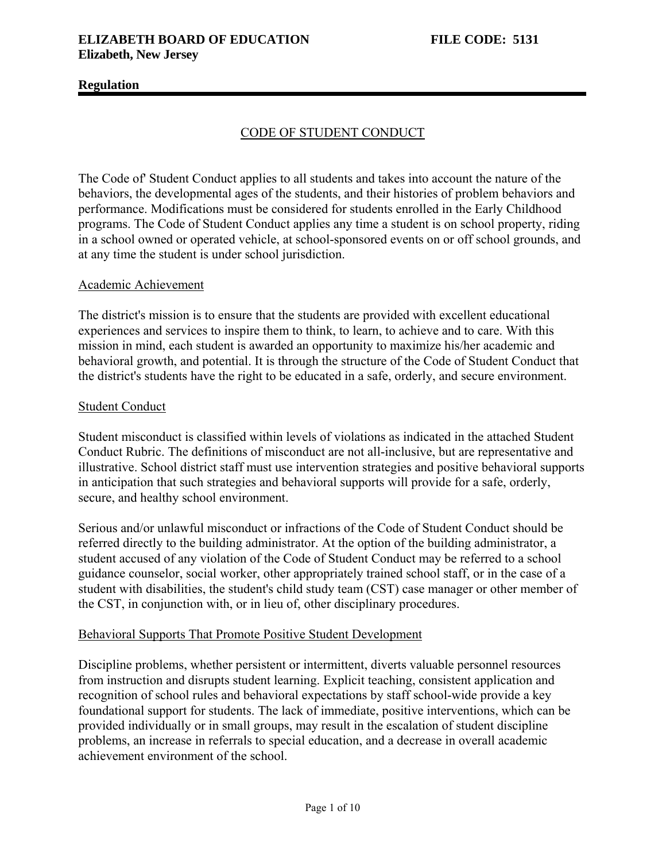# **Regulation**

# CODE OF STUDENT CONDUCT

The Code of' Student Conduct applies to all students and takes into account the nature of the behaviors, the developmental ages of the students, and their histories of problem behaviors and performance. Modifications must be considered for students enrolled in the Early Childhood programs. The Code of Student Conduct applies any time a student is on school property, riding in a school owned or operated vehicle, at school-sponsored events on or off school grounds, and at any time the student is under school jurisdiction.

#### Academic Achievement

The district's mission is to ensure that the students are provided with excellent educational experiences and services to inspire them to think, to learn, to achieve and to care. With this mission in mind, each student is awarded an opportunity to maximize his/her academic and behavioral growth, and potential. It is through the structure of the Code of Student Conduct that the district's students have the right to be educated in a safe, orderly, and secure environment.

#### Student Conduct

Student misconduct is classified within levels of violations as indicated in the attached Student Conduct Rubric. The definitions of misconduct are not all-inclusive, but are representative and illustrative. School district staff must use intervention strategies and positive behavioral supports in anticipation that such strategies and behavioral supports will provide for a safe, orderly, secure, and healthy school environment.

Serious and/or unlawful misconduct or infractions of the Code of Student Conduct should be referred directly to the building administrator. At the option of the building administrator, a student accused of any violation of the Code of Student Conduct may be referred to a school guidance counselor, social worker, other appropriately trained school staff, or in the case of a student with disabilities, the student's child study team (CST) case manager or other member of the CST, in conjunction with, or in lieu of, other disciplinary procedures.

#### Behavioral Supports That Promote Positive Student Development

Discipline problems, whether persistent or intermittent, diverts valuable personnel resources from instruction and disrupts student learning. Explicit teaching, consistent application and recognition of school rules and behavioral expectations by staff school-wide provide a key foundational support for students. The lack of immediate, positive interventions, which can be provided individually or in small groups, may result in the escalation of student discipline problems, an increase in referrals to special education, and a decrease in overall academic achievement environment of the school.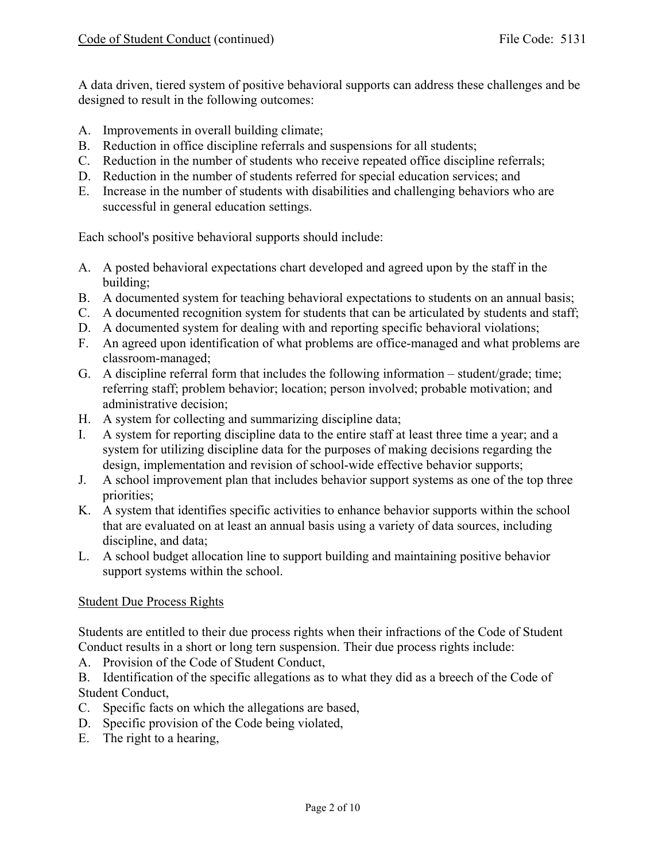A data driven, tiered system of positive behavioral supports can address these challenges and be designed to result in the following outcomes:

- A. Improvements in overall building climate;
- B. Reduction in office discipline referrals and suspensions for all students;
- C. Reduction in the number of students who receive repeated office discipline referrals;
- D. Reduction in the number of students referred for special education services; and
- E. Increase in the number of students with disabilities and challenging behaviors who are successful in general education settings.

Each school's positive behavioral supports should include:

- A. A posted behavioral expectations chart developed and agreed upon by the staff in the building;
- B. A documented system for teaching behavioral expectations to students on an annual basis;
- C. A documented recognition system for students that can be articulated by students and staff;
- D. A documented system for dealing with and reporting specific behavioral violations;
- F. An agreed upon identification of what problems are office-managed and what problems are classroom-managed;
- G. A discipline referral form that includes the following information student/grade; time; referring staff; problem behavior; location; person involved; probable motivation; and administrative decision;
- H. A system for collecting and summarizing discipline data;
- I. A system for reporting discipline data to the entire staff at least three time a year; and a system for utilizing discipline data for the purposes of making decisions regarding the design, implementation and revision of school-wide effective behavior supports;
- J. A school improvement plan that includes behavior support systems as one of the top three priorities;
- K. A system that identifies specific activities to enhance behavior supports within the school that are evaluated on at least an annual basis using a variety of data sources, including discipline, and data;
- L. A school budget allocation line to support building and maintaining positive behavior support systems within the school.

# Student Due Process Rights

Students are entitled to their due process rights when their infractions of the Code of Student Conduct results in a short or long tern suspension. Their due process rights include:

A. Provision of the Code of Student Conduct,

B. Identification of the specific allegations as to what they did as a breech of the Code of Student Conduct,

- C. Specific facts on which the allegations are based,
- D. Specific provision of the Code being violated,
- E. The right to a hearing,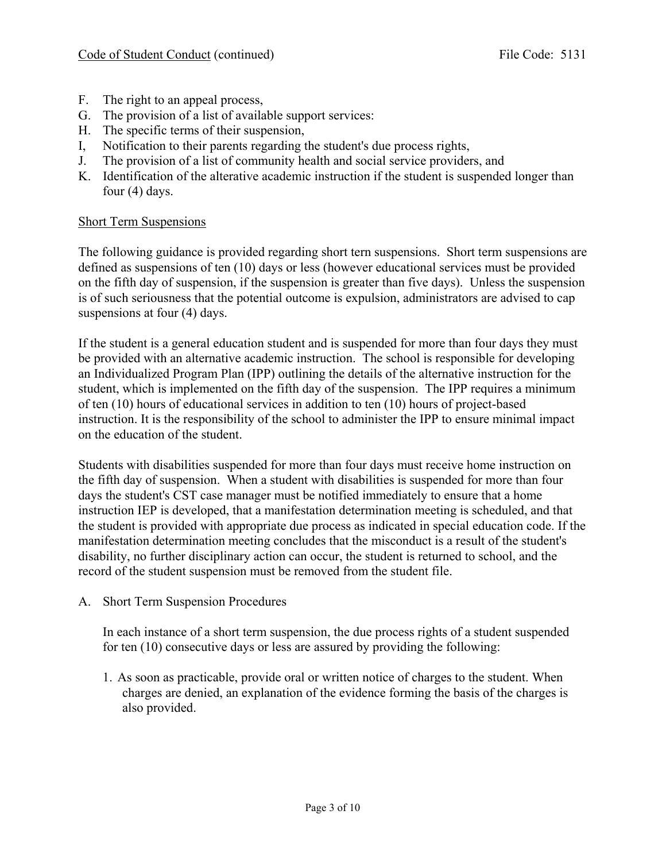- F. The right to an appeal process,
- G. The provision of a list of available support services:
- H. The specific terms of their suspension,
- I, Notification to their parents regarding the student's due process rights,
- J. The provision of a list of community health and social service providers, and
- K. Identification of the alterative academic instruction if the student is suspended longer than four (4) days.

# Short Term Suspensions

The following guidance is provided regarding short tern suspensions. Short term suspensions are defined as suspensions of ten (10) days or less (however educational services must be provided on the fifth day of suspension, if the suspension is greater than five days). Unless the suspension is of such seriousness that the potential outcome is expulsion, administrators are advised to cap suspensions at four (4) days.

If the student is a general education student and is suspended for more than four days they must be provided with an alternative academic instruction. The school is responsible for developing an Individualized Program Plan (IPP) outlining the details of the alternative instruction for the student, which is implemented on the fifth day of the suspension. The IPP requires a minimum of ten (10) hours of educational services in addition to ten (10) hours of project-based instruction. It is the responsibility of the school to administer the IPP to ensure minimal impact on the education of the student.

Students with disabilities suspended for more than four days must receive home instruction on the fifth day of suspension. When a student with disabilities is suspended for more than four days the student's CST case manager must be notified immediately to ensure that a home instruction IEP is developed, that a manifestation determination meeting is scheduled, and that the student is provided with appropriate due process as indicated in special education code. If the manifestation determination meeting concludes that the misconduct is a result of the student's disability, no further disciplinary action can occur, the student is returned to school, and the record of the student suspension must be removed from the student file.

A. Short Term Suspension Procedures

In each instance of a short term suspension, the due process rights of a student suspended for ten (10) consecutive days or less are assured by providing the following:

1. As soon as practicable, provide oral or written notice of charges to the student. When charges are denied, an explanation of the evidence forming the basis of the charges is also provided.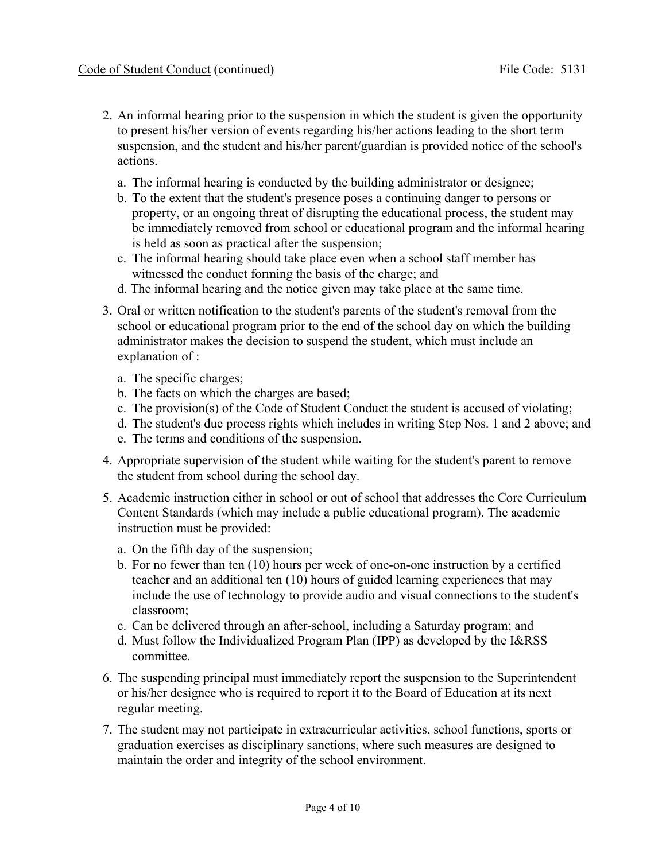- 2. An informal hearing prior to the suspension in which the student is given the opportunity to present his/her version of events regarding his/her actions leading to the short term suspension, and the student and his/her parent/guardian is provided notice of the school's actions.
	- a. The informal hearing is conducted by the building administrator or designee;
	- b. To the extent that the student's presence poses a continuing danger to persons or property, or an ongoing threat of disrupting the educational process, the student may be immediately removed from school or educational program and the informal hearing is held as soon as practical after the suspension;
	- c. The informal hearing should take place even when a school staff member has witnessed the conduct forming the basis of the charge; and
	- d. The informal hearing and the notice given may take place at the same time.
- 3. Oral or written notification to the student's parents of the student's removal from the school or educational program prior to the end of the school day on which the building administrator makes the decision to suspend the student, which must include an explanation of :
	- a. The specific charges;
	- b. The facts on which the charges are based;
	- c. The provision(s) of the Code of Student Conduct the student is accused of violating;
	- d. The student's due process rights which includes in writing Step Nos. 1 and 2 above; and
	- e. The terms and conditions of the suspension.
- 4. Appropriate supervision of the student while waiting for the student's parent to remove the student from school during the school day.
- 5. Academic instruction either in school or out of school that addresses the Core Curriculum Content Standards (which may include a public educational program). The academic instruction must be provided:
	- a. On the fifth day of the suspension;
	- b. For no fewer than ten (10) hours per week of one-on-one instruction by a certified teacher and an additional ten (10) hours of guided learning experiences that may include the use of technology to provide audio and visual connections to the student's classroom;
	- c. Can be delivered through an after-school, including a Saturday program; and
	- d. Must follow the Individualized Program Plan (IPP) as developed by the I&RSS committee.
- 6. The suspending principal must immediately report the suspension to the Superintendent or his/her designee who is required to report it to the Board of Education at its next regular meeting.
- 7. The student may not participate in extracurricular activities, school functions, sports or graduation exercises as disciplinary sanctions, where such measures are designed to maintain the order and integrity of the school environment.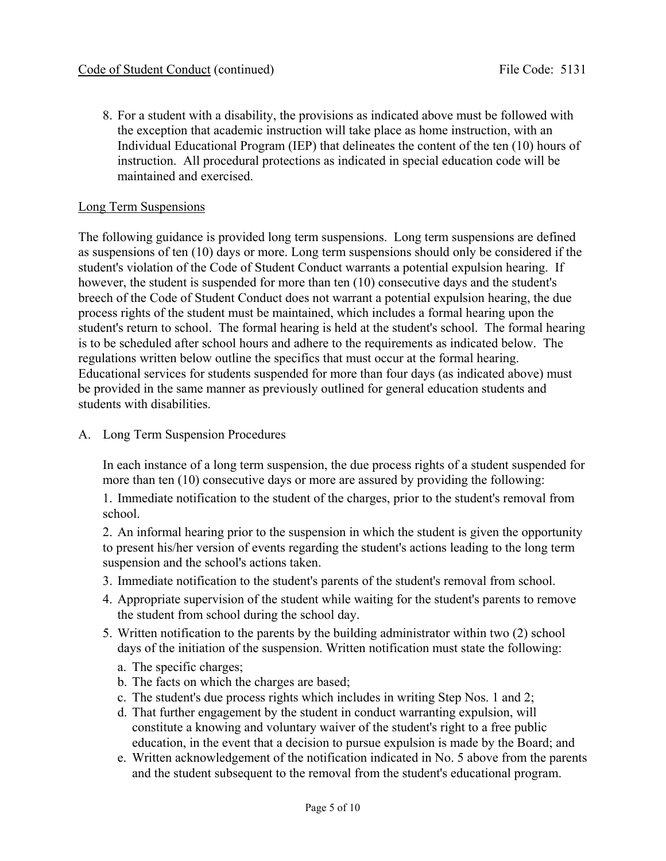8. For a student with a disability, the provisions as indicated above must be followed with the exception that academic instruction will take place as home instruction, with an Individual Educational Program (IEP) that delineates the content of the ten (10) hours of instruction. All procedural protections as indicated in special education code will be maintained and exercised.

# Long Term Suspensions

The following guidance is provided long term suspensions. Long term suspensions are defined as suspensions of ten (10) days or more. Long term suspensions should only be considered if the student's violation of the Code of Student Conduct warrants a potential expulsion hearing. If however, the student is suspended for more than ten (10) consecutive days and the student's breech of the Code of Student Conduct does not warrant a potential expulsion hearing, the due process rights of the student must be maintained, which includes a formal hearing upon the student's return to school. The formal hearing is held at the student's school. The formal hearing is to be scheduled after school hours and adhere to the requirements as indicated below. The regulations written below outline the specifics that must occur at the formal hearing. Educational services for students suspended for more than four days (as indicated above) must be provided in the same manner as previously outlined for general education students and students with disabilities.

### A. Long Term Suspension Procedures

In each instance of a long term suspension, the due process rights of a student suspended for more than ten (10) consecutive days or more are assured by providing the following:

1. Immediate notification to the student of the charges, prior to the student's removal from school.

2. An informal hearing prior to the suspension in which the student is given the opportunity to present his/her version of events regarding the student's actions leading to the long term suspension and the school's actions taken.

- 3. Immediate notification to the student's parents of the student's removal from school.
- 4. Appropriate supervision of the student while waiting for the student's parents to remove the student from school during the school day.
- 5. Written notification to the parents by the building administrator within two (2) school days of the initiation of the suspension. Written notification must state the following:
	- a. The specific charges;
	- b. The facts on which the charges are based;
	- c. The student's due process rights which includes in writing Step Nos. 1 and 2;
	- d. That further engagement by the student in conduct warranting expulsion, will constitute a knowing and voluntary waiver of the student's right to a free public education, in the event that a decision to pursue expulsion is made by the Board; and
	- e. Written acknowledgement of the notification indicated in No. 5 above from the parents and the student subsequent to the removal from the student's educational program.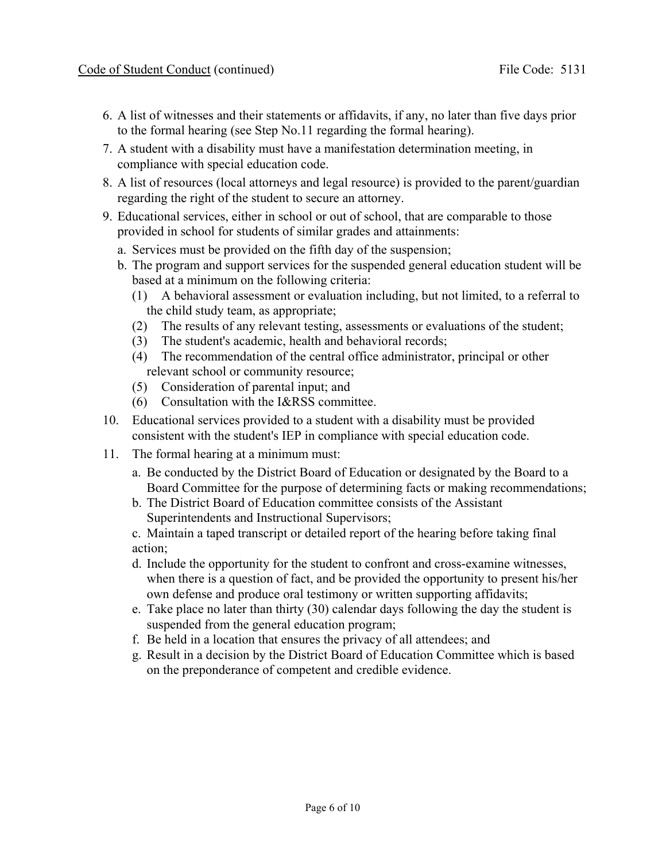- 6. A list of witnesses and their statements or affidavits, if any, no later than five days prior to the formal hearing (see Step No.11 regarding the formal hearing).
- 7. A student with a disability must have a manifestation determination meeting, in compliance with special education code.
- 8. A list of resources (local attorneys and legal resource) is provided to the parent/guardian regarding the right of the student to secure an attorney.
- 9. Educational services, either in school or out of school, that are comparable to those provided in school for students of similar grades and attainments:
	- a. Services must be provided on the fifth day of the suspension;
	- b. The program and support services for the suspended general education student will be based at a minimum on the following criteria:
		- (1) A behavioral assessment or evaluation including, but not limited, to a referral to the child study team, as appropriate;
		- (2) The results of any relevant testing, assessments or evaluations of the student;
		- (3) The student's academic, health and behavioral records;
		- (4) The recommendation of the central office administrator, principal or other relevant school or community resource;
		- (5) Consideration of parental input; and
		- (6) Consultation with the I&RSS committee.
- 10. Educational services provided to a student with a disability must be provided consistent with the student's IEP in compliance with special education code.
- 11. The formal hearing at a minimum must:
	- a. Be conducted by the District Board of Education or designated by the Board to a Board Committee for the purpose of determining facts or making recommendations;
	- b. The District Board of Education committee consists of the Assistant Superintendents and Instructional Supervisors;

c. Maintain a taped transcript or detailed report of the hearing before taking final action;

- d. Include the opportunity for the student to confront and cross-examine witnesses, when there is a question of fact, and be provided the opportunity to present his/her own defense and produce oral testimony or written supporting affidavits;
- e. Take place no later than thirty (30) calendar days following the day the student is suspended from the general education program;
- f. Be held in a location that ensures the privacy of all attendees; and
- g. Result in a decision by the District Board of Education Committee which is based on the preponderance of competent and credible evidence.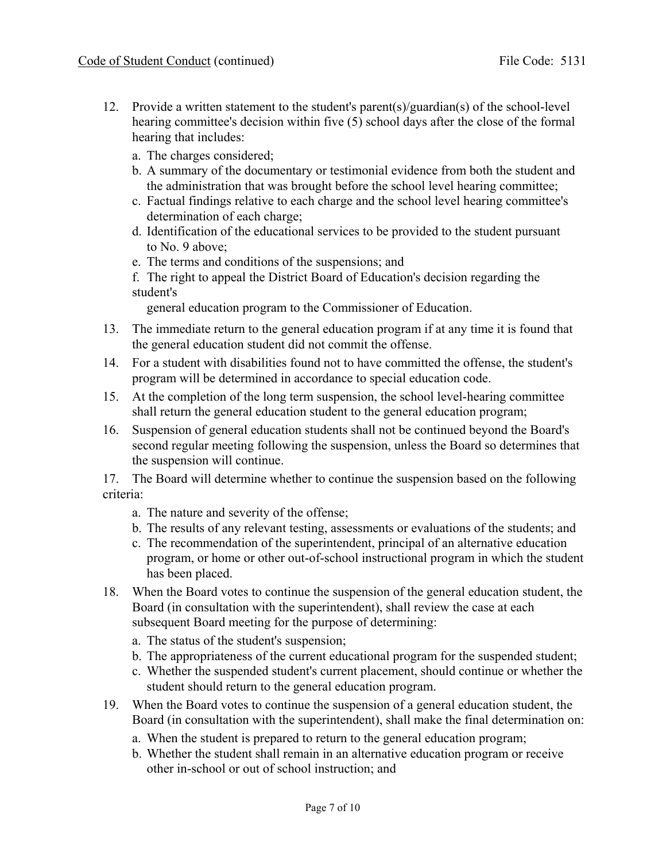- 12. Provide a written statement to the student's parent(s)/guardian(s) of the school-level hearing committee's decision within five (5) school days after the close of the formal hearing that includes:
	- a. The charges considered;
	- b. A summary of the documentary or testimonial evidence from both the student and the administration that was brought before the school level hearing committee;
	- c. Factual findings relative to each charge and the school level hearing committee's determination of each charge;
	- d. Identification of the educational services to be provided to the student pursuant to No. 9 above;
	- e. The terms and conditions of the suspensions; and
	- f. The right to appeal the District Board of Education's decision regarding the student's

general education program to the Commissioner of Education.

- 13. The immediate return to the general education program if at any time it is found that the general education student did not commit the offense.
- 14. For a student with disabilities found not to have committed the offense, the student's program will be determined in accordance to special education code.
- 15. At the completion of the long term suspension, the school level-hearing committee shall return the general education student to the general education program;
- 16. Suspension of general education students shall not be continued beyond the Board's second regular meeting following the suspension, unless the Board so determines that the suspension will continue.

17. The Board will determine whether to continue the suspension based on the following criteria:

- a. The nature and severity of the offense;
- b. The results of any relevant testing, assessments or evaluations of the students; and
- c. The recommendation of the superintendent, principal of an alternative education program, or home or other out-of-school instructional program in which the student has been placed.
- 18. When the Board votes to continue the suspension of the general education student, the Board (in consultation with the superintendent), shall review the case at each subsequent Board meeting for the purpose of determining:
	- a. The status of the student's suspension;
	- b. The appropriateness of the current educational program for the suspended student;
	- c. Whether the suspended student's current placement, should continue or whether the student should return to the general education program.
- 19. When the Board votes to continue the suspension of a general education student, the Board (in consultation with the superintendent), shall make the final determination on:
	- a. When the student is prepared to return to the general education program;
	- b. Whether the student shall remain in an alternative education program or receive other in-school or out of school instruction; and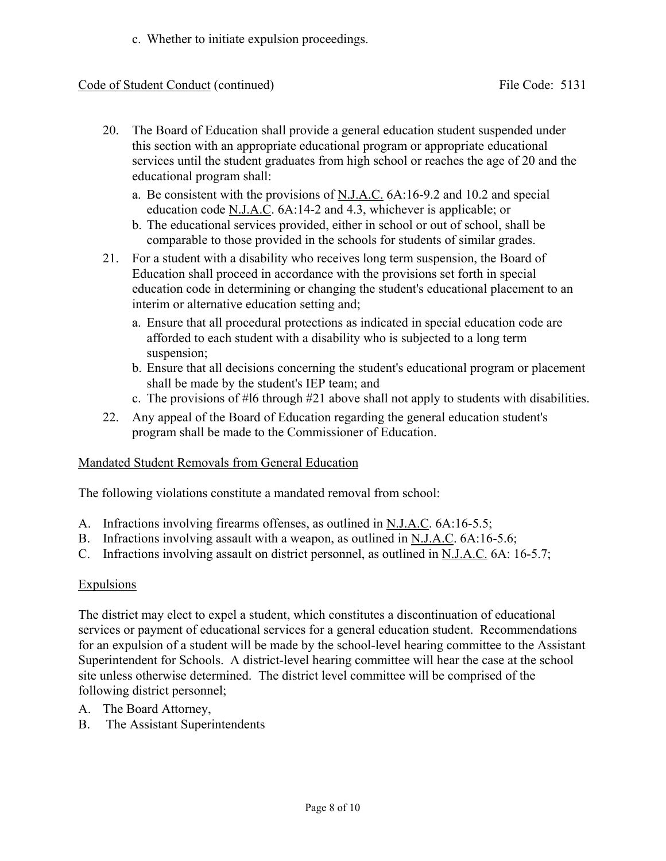c. Whether to initiate expulsion proceedings.

# Code of Student Conduct (continued) File Code: 5131

- 20. The Board of Education shall provide a general education student suspended under this section with an appropriate educational program or appropriate educational services until the student graduates from high school or reaches the age of 20 and the educational program shall:
	- a. Be consistent with the provisions of  $N.I.A.C.$  6A:16-9.2 and 10.2 and special education code N.J.A.C. 6A:14-2 and 4.3, whichever is applicable; or
	- b. The educational services provided, either in school or out of school, shall be comparable to those provided in the schools for students of similar grades.
- 21. For a student with a disability who receives long term suspension, the Board of Education shall proceed in accordance with the provisions set forth in special education code in determining or changing the student's educational placement to an interim or alternative education setting and;
	- a. Ensure that all procedural protections as indicated in special education code are afforded to each student with a disability who is subjected to a long term suspension;
	- b. Ensure that all decisions concerning the student's educational program or placement shall be made by the student's IEP team; and
	- c. The provisions of #l6 through #21 above shall not apply to students with disabilities.
- 22. Any appeal of the Board of Education regarding the general education student's program shall be made to the Commissioner of Education.

# Mandated Student Removals from General Education

The following violations constitute a mandated removal from school:

- A. Infractions involving firearms offenses, as outlined in N.J.A.C. 6A:16-5.5;
- B. Infractions involving assault with a weapon, as outlined in N.J.A.C. 6A:16-5.6;
- C. Infractions involving assault on district personnel, as outlined in N.J.A.C. 6A: 16-5.7;

# Expulsions

The district may elect to expel a student, which constitutes a discontinuation of educational services or payment of educational services for a general education student. Recommendations for an expulsion of a student will be made by the school-level hearing committee to the Assistant Superintendent for Schools. A district-level hearing committee will hear the case at the school site unless otherwise determined. The district level committee will be comprised of the following district personnel;

- A. The Board Attorney,
- B. The Assistant Superintendents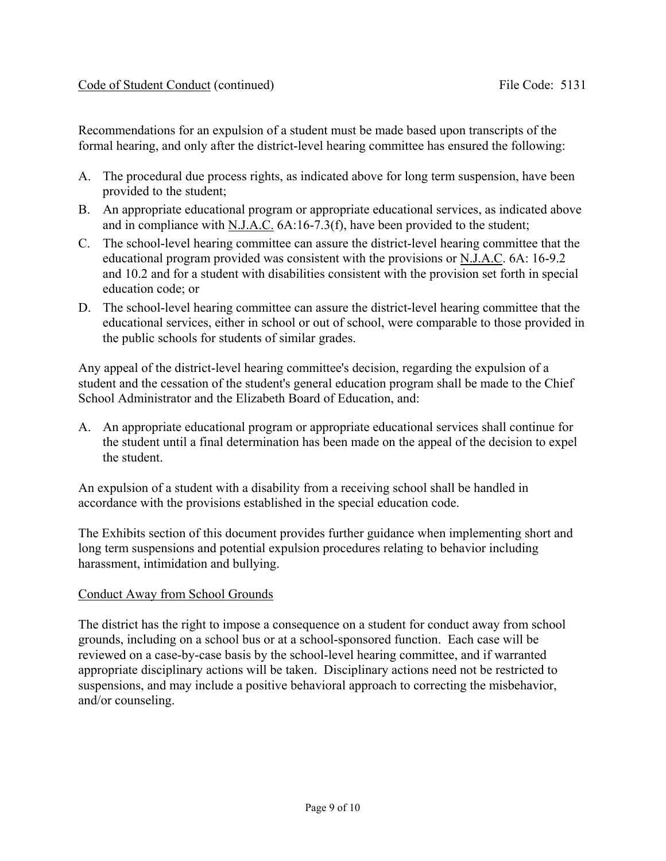Recommendations for an expulsion of a student must be made based upon transcripts of the formal hearing, and only after the district-level hearing committee has ensured the following:

- A. The procedural due process rights, as indicated above for long term suspension, have been provided to the student;
- B. An appropriate educational program or appropriate educational services, as indicated above and in compliance with N.J.A.C. 6A:16-7.3(f), have been provided to the student;
- C. The school-level hearing committee can assure the district-level hearing committee that the educational program provided was consistent with the provisions or N.J.A.C. 6A: 16-9.2 and 10.2 and for a student with disabilities consistent with the provision set forth in special education code; or
- D. The school-level hearing committee can assure the district-level hearing committee that the educational services, either in school or out of school, were comparable to those provided in the public schools for students of similar grades.

Any appeal of the district-level hearing committee's decision, regarding the expulsion of a student and the cessation of the student's general education program shall be made to the Chief School Administrator and the Elizabeth Board of Education, and:

A. An appropriate educational program or appropriate educational services shall continue for the student until a final determination has been made on the appeal of the decision to expel the student.

An expulsion of a student with a disability from a receiving school shall be handled in accordance with the provisions established in the special education code.

The Exhibits section of this document provides further guidance when implementing short and long term suspensions and potential expulsion procedures relating to behavior including harassment, intimidation and bullying.

# Conduct Away from School Grounds

The district has the right to impose a consequence on a student for conduct away from school grounds, including on a school bus or at a school-sponsored function. Each case will be reviewed on a case-by-case basis by the school-level hearing committee, and if warranted appropriate disciplinary actions will be taken. Disciplinary actions need not be restricted to suspensions, and may include a positive behavioral approach to correcting the misbehavior, and/or counseling.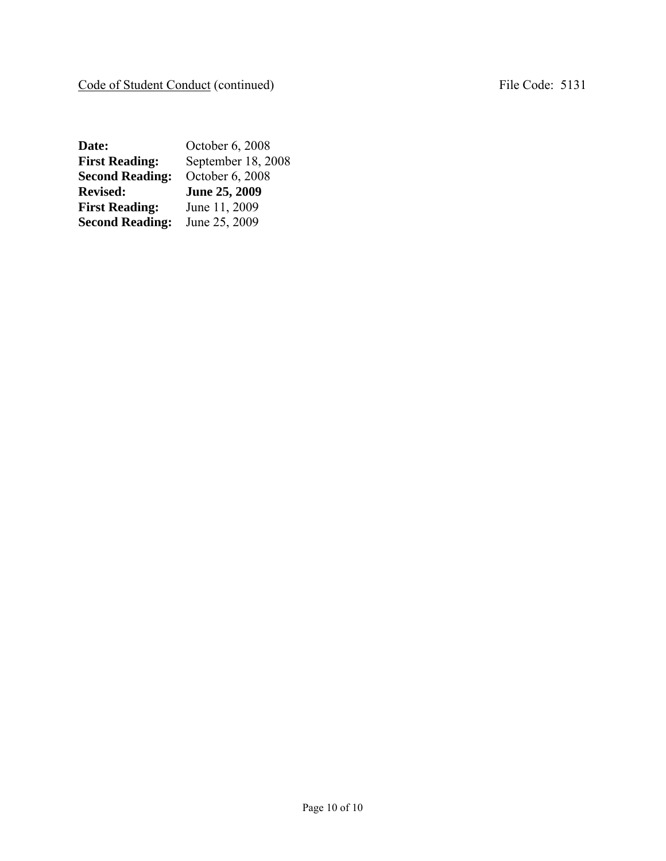# Code of Student Conduct (continued) File Code: 5131

| Date:                  | October 6, 2008    |
|------------------------|--------------------|
| <b>First Reading:</b>  | September 18, 2008 |
| <b>Second Reading:</b> | October 6, 2008    |
|                        |                    |
| <b>Revised:</b>        | June 25, 2009      |
| <b>First Reading:</b>  | June 11, 2009      |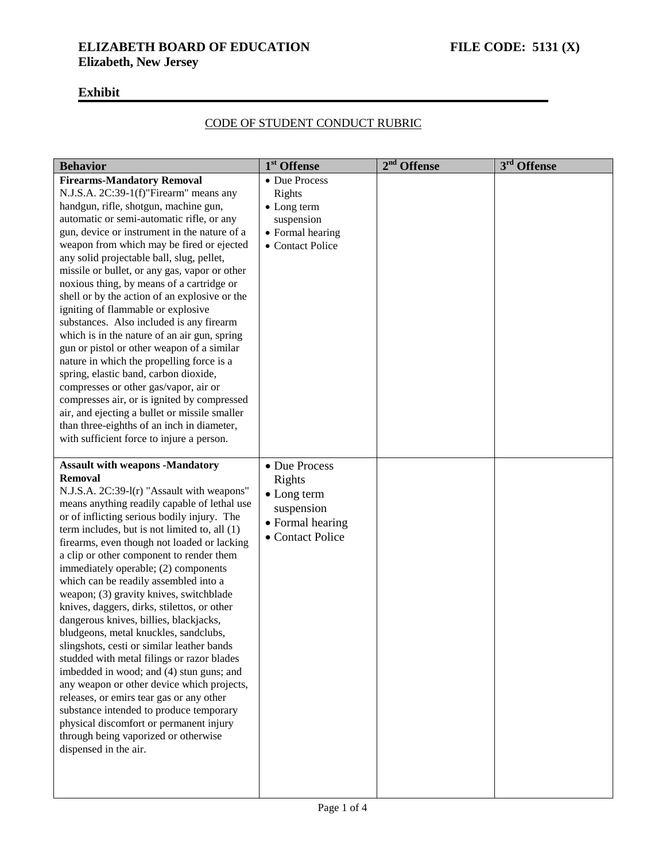# **ELIZABETH BOARD OF EDUCATION FILE CODE: 5131 (X) Elizabeth, New Jersey**

# **Exhibit**

# CODE OF STUDENT CONDUCT RUBRIC

| <b>Behavior</b>                                                                                                                                                                                                                                                                                                                                                                                                                                                                                                                                                                                                                                                                                                                                                                                                                                                                                                                                                                                          | 1 <sup>st</sup> Offense                                                                              | 2 <sup>nd</sup> Offense | 3 <sup>rd</sup> Offense |
|----------------------------------------------------------------------------------------------------------------------------------------------------------------------------------------------------------------------------------------------------------------------------------------------------------------------------------------------------------------------------------------------------------------------------------------------------------------------------------------------------------------------------------------------------------------------------------------------------------------------------------------------------------------------------------------------------------------------------------------------------------------------------------------------------------------------------------------------------------------------------------------------------------------------------------------------------------------------------------------------------------|------------------------------------------------------------------------------------------------------|-------------------------|-------------------------|
| <b>Firearms-Mandatory Removal</b><br>N.J.S.A. 2C:39-1(f)"Firearm" means any<br>handgun, rifle, shotgun, machine gun,<br>automatic or semi-automatic rifle, or any<br>gun, device or instrument in the nature of a<br>weapon from which may be fired or ejected<br>any solid projectable ball, slug, pellet,<br>missile or bullet, or any gas, vapor or other<br>noxious thing, by means of a cartridge or<br>shell or by the action of an explosive or the<br>igniting of flammable or explosive<br>substances. Also included is any firearm<br>which is in the nature of an air gun, spring<br>gun or pistol or other weapon of a similar<br>nature in which the propelling force is a<br>spring, elastic band, carbon dioxide,<br>compresses or other gas/vapor, air or<br>compresses air, or is ignited by compressed<br>air, and ejecting a bullet or missile smaller<br>than three-eighths of an inch in diameter,<br>with sufficient force to injure a person.                                     | • Due Process<br>Rights<br>• Long term<br>suspension<br>• Formal hearing<br>• Contact Police         |                         |                         |
| <b>Assault with weapons -Mandatory</b><br><b>Removal</b><br>N.J.S.A. 2C:39-l(r) "Assault with weapons"<br>means anything readily capable of lethal use<br>or of inflicting serious bodily injury. The<br>term includes, but is not limited to, all (1)<br>firearms, even though not loaded or lacking<br>a clip or other component to render them<br>immediately operable; (2) components<br>which can be readily assembled into a<br>weapon; (3) gravity knives, switchblade<br>knives, daggers, dirks, stilettos, or other<br>dangerous knives, billies, blackjacks,<br>bludgeons, metal knuckles, sandclubs,<br>slingshots, cesti or similar leather bands<br>studded with metal filings or razor blades<br>imbedded in wood; and (4) stun guns; and<br>any weapon or other device which projects,<br>releases, or emirs tear gas or any other<br>substance intended to produce temporary<br>physical discomfort or permanent injury<br>through being vaporized or otherwise<br>dispensed in the air. | • Due Process<br>Rights<br>$\bullet$ Long term<br>suspension<br>• Formal hearing<br>• Contact Police |                         |                         |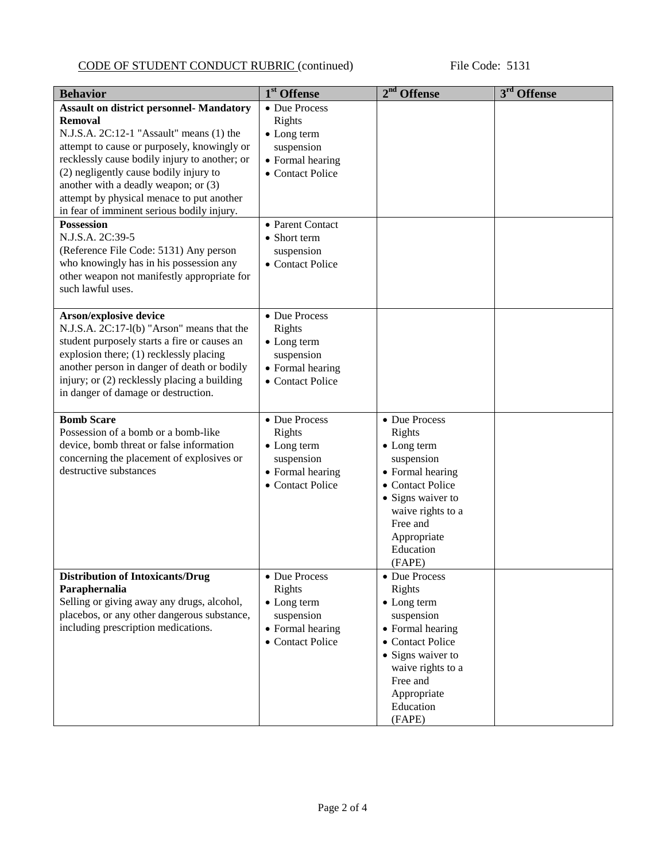# CODE OF STUDENT CONDUCT RUBRIC (continued) File Code: 5131

| <b>Behavior</b>                                                                                                                                                                                                                                                                                                                                                                                                                                                                                                                                                                       | 1 <sup>st</sup> Offense                                                                                                                                                    | 2 <sup>nd</sup> Offense                                                                                                                                                                  | 3 <sup>rd</sup> Offense |
|---------------------------------------------------------------------------------------------------------------------------------------------------------------------------------------------------------------------------------------------------------------------------------------------------------------------------------------------------------------------------------------------------------------------------------------------------------------------------------------------------------------------------------------------------------------------------------------|----------------------------------------------------------------------------------------------------------------------------------------------------------------------------|------------------------------------------------------------------------------------------------------------------------------------------------------------------------------------------|-------------------------|
| <b>Assault on district personnel- Mandatory</b><br>Removal<br>N.J.S.A. 2C:12-1 "Assault" means (1) the<br>attempt to cause or purposely, knowingly or<br>recklessly cause bodily injury to another; or<br>(2) negligently cause bodily injury to<br>another with a deadly weapon; or (3)<br>attempt by physical menace to put another<br>in fear of imminent serious bodily injury.<br><b>Possession</b><br>N.J.S.A. 2C:39-5<br>(Reference File Code: 5131) Any person<br>who knowingly has in his possession any<br>other weapon not manifestly appropriate for<br>such lawful uses. | • Due Process<br>Rights<br>$\bullet$ Long term<br>suspension<br>• Formal hearing<br>• Contact Police<br>• Parent Contact<br>• Short term<br>suspension<br>• Contact Police |                                                                                                                                                                                          |                         |
| Arson/explosive device<br>N.J.S.A. 2C:17-l(b) "Arson" means that the<br>student purposely starts a fire or causes an<br>explosion there; (1) recklessly placing<br>another person in danger of death or bodily<br>injury; or (2) recklessly placing a building<br>in danger of damage or destruction.                                                                                                                                                                                                                                                                                 | • Due Process<br>Rights<br>$\bullet$ Long term<br>suspension<br>• Formal hearing<br>• Contact Police                                                                       |                                                                                                                                                                                          |                         |
| <b>Bomb Scare</b><br>Possession of a bomb or a bomb-like<br>device, bomb threat or false information<br>concerning the placement of explosives or<br>destructive substances                                                                                                                                                                                                                                                                                                                                                                                                           | • Due Process<br>Rights<br>• Long term<br>suspension<br>• Formal hearing<br>• Contact Police                                                                               | • Due Process<br>Rights<br>• Long term<br>suspension<br>• Formal hearing<br>• Contact Police<br>• Signs waiver to<br>waive rights to a<br>Free and<br>Appropriate<br>Education<br>(FAPE) |                         |
| <b>Distribution of Intoxicants/Drug</b><br>Paraphernalia<br>Selling or giving away any drugs, alcohol,<br>placebos, or any other dangerous substance,<br>including prescription medications.                                                                                                                                                                                                                                                                                                                                                                                          | • Due Process<br>Rights<br>• Long term<br>suspension<br>• Formal hearing<br>• Contact Police                                                                               | • Due Process<br>Rights<br>• Long term<br>suspension<br>• Formal hearing<br>• Contact Police<br>• Signs waiver to<br>waive rights to a<br>Free and<br>Appropriate<br>Education<br>(FAPE) |                         |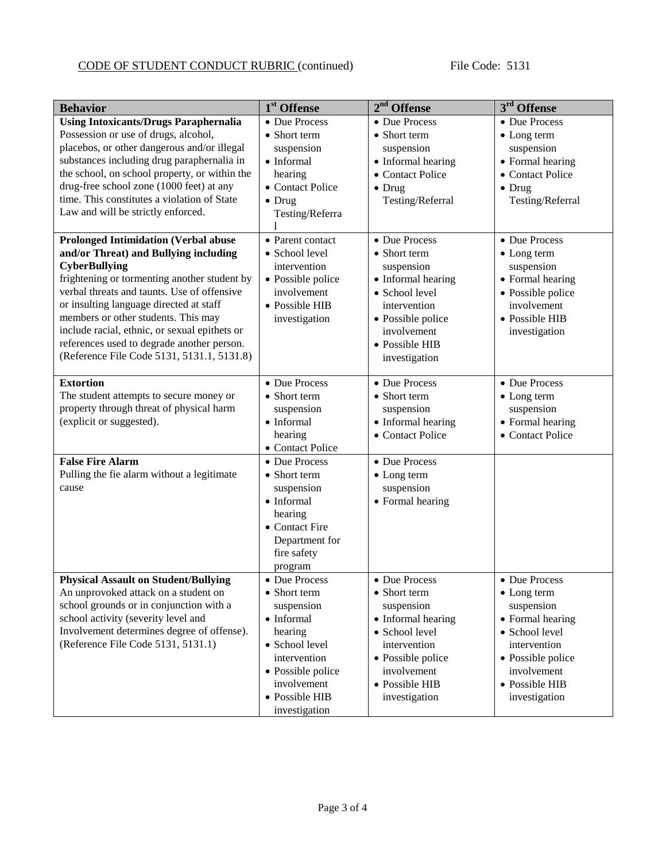# CODE OF STUDENT CONDUCT RUBRIC (continued) File Code: 5131

| <b>Behavior</b>                               | 1 <sup>st</sup> Offense | $2nd$ Offense      | 3 <sup>rd</sup> Offense |
|-----------------------------------------------|-------------------------|--------------------|-------------------------|
| <b>Using Intoxicants/Drugs Paraphernalia</b>  | • Due Process           | • Due Process      | • Due Process           |
| Possession or use of drugs, alcohol,          | • Short term            | • Short term       | $\bullet$ Long term     |
| placebos, or other dangerous and/or illegal   | suspension              | suspension         | suspension              |
| substances including drug paraphernalia in    | $\bullet$ Informal      | • Informal hearing | • Formal hearing        |
| the school, on school property, or within the | hearing                 | • Contact Police   | • Contact Police        |
| drug-free school zone (1000 feet) at any      | • Contact Police        | $\bullet$ Drug     | $\bullet$ Drug          |
| time. This constitutes a violation of State   | $\bullet$ Drug          | Testing/Referral   | Testing/Referral        |
| Law and will be strictly enforced.            | Testing/Referra         |                    |                         |
|                                               |                         |                    |                         |
| <b>Prolonged Intimidation (Verbal abuse</b>   | • Parent contact        | • Due Process      | • Due Process           |
| and/or Threat) and Bullying including         | · School level          | • Short term       | $\bullet$ Long term     |
| <b>CyberBullying</b>                          | intervention            | suspension         | suspension              |
| frightening or tormenting another student by  | • Possible police       | • Informal hearing | • Formal hearing        |
| verbal threats and taunts. Use of offensive   | involvement             | • School level     | • Possible police       |
| or insulting language directed at staff       | • Possible HIB          | intervention       | involvement             |
| members or other students. This may           | investigation           | • Possible police  | • Possible HIB          |
| include racial, ethnic, or sexual epithets or |                         | involvement        | investigation           |
| references used to degrade another person.    |                         | • Possible HIB     |                         |
| (Reference File Code 5131, 5131.1, 5131.8)    |                         | investigation      |                         |
|                                               |                         |                    |                         |
| <b>Extortion</b>                              | • Due Process           | • Due Process      | • Due Process           |
| The student attempts to secure money or       | • Short term            | • Short term       | $\bullet$ Long term     |
| property through threat of physical harm      | suspension              | suspension         | suspension              |
| (explicit or suggested).                      | $\bullet$ Informal      | • Informal hearing | • Formal hearing        |
|                                               | hearing                 | • Contact Police   | • Contact Police        |
|                                               | • Contact Police        |                    |                         |
| <b>False Fire Alarm</b>                       | • Due Process           | • Due Process      |                         |
| Pulling the fie alarm without a legitimate    | • Short term            | • Long term        |                         |
| cause                                         | suspension              | suspension         |                         |
|                                               | $\bullet$ Informal      | • Formal hearing   |                         |
|                                               | hearing                 |                    |                         |
|                                               | • Contact Fire          |                    |                         |
|                                               | Department for          |                    |                         |
|                                               | fire safety             |                    |                         |
|                                               | program                 |                    |                         |
| <b>Physical Assault on Student/Bullying</b>   | • Due Process           | • Due Process      | • Due Process           |
| An unprovoked attack on a student on          | • Short term            | • Short term       | • Long term             |
| school grounds or in conjunction with a       | suspension              | suspension         | suspension              |
| school activity (severity level and           | $\bullet$ Informal      | • Informal hearing | • Formal hearing        |
| Involvement determines degree of offense).    | hearing                 | · School level     | • School level          |
| (Reference File Code 5131, 5131.1)            | $\bullet$ School level  | intervention       | intervention            |
|                                               | intervention            | • Possible police  | • Possible police       |
|                                               | • Possible police       | involvement        | involvement             |
|                                               | involvement             | • Possible HIB     | • Possible HIB          |
|                                               | • Possible HIB          | investigation      | investigation           |
|                                               | investigation           |                    |                         |